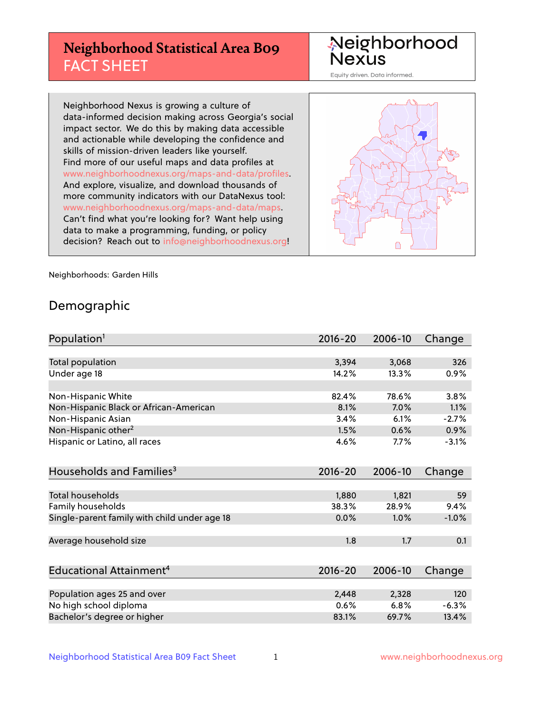# **Neighborhood Statistical Area B09** FACT SHEET

Neighborhood Nexus

Equity driven. Data informed.

Neighborhood Nexus is growing a culture of data-informed decision making across Georgia's social impact sector. We do this by making data accessible and actionable while developing the confidence and skills of mission-driven leaders like yourself. Find more of our useful maps and data profiles at www.neighborhoodnexus.org/maps-and-data/profiles. And explore, visualize, and download thousands of more community indicators with our DataNexus tool: www.neighborhoodnexus.org/maps-and-data/maps. Can't find what you're looking for? Want help using data to make a programming, funding, or policy decision? Reach out to [info@neighborhoodnexus.org!](mailto:info@neighborhoodnexus.org)



Neighborhoods: Garden Hills

### Demographic

| Population <sup>1</sup>                      | $2016 - 20$ | 2006-10 | Change  |
|----------------------------------------------|-------------|---------|---------|
|                                              |             |         |         |
| Total population                             | 3,394       | 3,068   | 326     |
| Under age 18                                 | 14.2%       | 13.3%   | 0.9%    |
|                                              |             |         |         |
| Non-Hispanic White                           | 82.4%       | 78.6%   | 3.8%    |
| Non-Hispanic Black or African-American       | 8.1%        | 7.0%    | 1.1%    |
| Non-Hispanic Asian                           | 3.4%        | 6.1%    | $-2.7%$ |
| Non-Hispanic other <sup>2</sup>              | 1.5%        | 0.6%    | 0.9%    |
| Hispanic or Latino, all races                | 4.6%        | 7.7%    | $-3.1%$ |
| Households and Families <sup>3</sup>         | $2016 - 20$ | 2006-10 | Change  |
|                                              |             |         |         |
| <b>Total households</b>                      | 1,880       | 1,821   | 59      |
| Family households                            | 38.3%       | 28.9%   | 9.4%    |
| Single-parent family with child under age 18 | 0.0%        | 1.0%    | $-1.0%$ |
| Average household size                       | 1.8         | 1.7     | 0.1     |
|                                              |             |         |         |
| Educational Attainment <sup>4</sup>          | 2016-20     | 2006-10 | Change  |
|                                              |             |         |         |
| Population ages 25 and over                  | 2,448       | 2,328   | 120     |
| No high school diploma                       | 0.6%        | 6.8%    | $-6.3%$ |
| Bachelor's degree or higher                  | 83.1%       | 69.7%   | 13.4%   |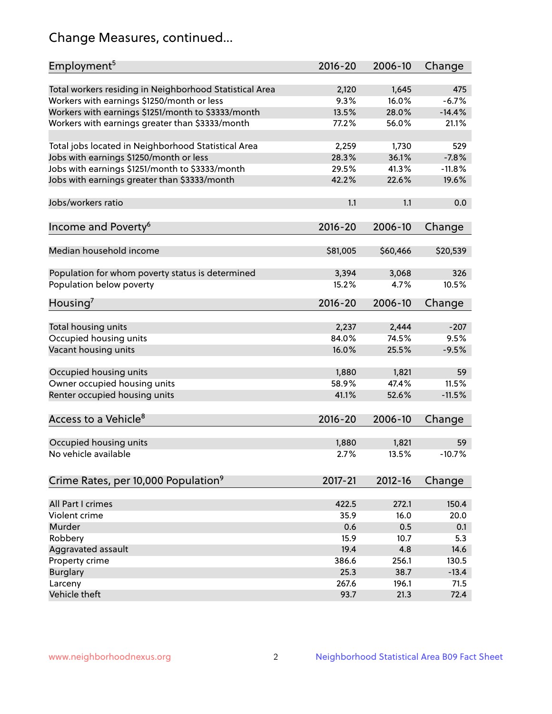# Change Measures, continued...

| Employment <sup>5</sup>                                                                               | $2016 - 20$   | 2006-10        | Change         |
|-------------------------------------------------------------------------------------------------------|---------------|----------------|----------------|
|                                                                                                       |               |                |                |
| Total workers residing in Neighborhood Statistical Area                                               | 2,120<br>9.3% | 1,645<br>16.0% | 475<br>$-6.7%$ |
| Workers with earnings \$1250/month or less                                                            | 13.5%         | 28.0%          | $-14.4%$       |
| Workers with earnings \$1251/month to \$3333/month<br>Workers with earnings greater than \$3333/month | 77.2%         | 56.0%          | 21.1%          |
|                                                                                                       |               |                |                |
| Total jobs located in Neighborhood Statistical Area                                                   | 2,259         | 1,730          | 529            |
| Jobs with earnings \$1250/month or less                                                               | 28.3%         | 36.1%          | $-7.8%$        |
| Jobs with earnings \$1251/month to \$3333/month                                                       | 29.5%         | 41.3%          | $-11.8%$       |
| Jobs with earnings greater than \$3333/month                                                          | 42.2%         | 22.6%          | 19.6%          |
|                                                                                                       |               |                |                |
| Jobs/workers ratio                                                                                    | 1.1           | 1.1            | 0.0            |
|                                                                                                       |               |                |                |
| Income and Poverty <sup>6</sup>                                                                       | $2016 - 20$   | 2006-10        | Change         |
|                                                                                                       |               |                |                |
| Median household income                                                                               | \$81,005      | \$60,466       | \$20,539       |
|                                                                                                       |               |                |                |
| Population for whom poverty status is determined                                                      | 3,394         | 3,068          | 326            |
| Population below poverty                                                                              | 15.2%         | 4.7%           | 10.5%          |
| Housing'                                                                                              | $2016 - 20$   | 2006-10        | Change         |
|                                                                                                       |               |                |                |
| Total housing units                                                                                   | 2,237         | 2,444          | $-207$         |
| Occupied housing units                                                                                | 84.0%         | 74.5%          | 9.5%           |
| Vacant housing units                                                                                  | 16.0%         | 25.5%          | $-9.5%$        |
|                                                                                                       |               |                |                |
| Occupied housing units                                                                                | 1,880         | 1,821          | 59             |
| Owner occupied housing units                                                                          | 58.9%         | 47.4%          | 11.5%          |
| Renter occupied housing units                                                                         | 41.1%         | 52.6%          | $-11.5%$       |
|                                                                                                       |               |                |                |
| Access to a Vehicle <sup>8</sup>                                                                      | $2016 - 20$   | 2006-10        | Change         |
|                                                                                                       |               |                |                |
| Occupied housing units                                                                                | 1,880         | 1,821          | 59             |
| No vehicle available                                                                                  | 2.7%          | 13.5%          | $-10.7%$       |
| Crime Rates, per 10,000 Population <sup>9</sup>                                                       | 2017-21       | 2012-16        | Change         |
|                                                                                                       |               |                |                |
| All Part I crimes                                                                                     | 422.5         | 272.1          | 150.4          |
| Violent crime                                                                                         | 35.9          | 16.0           | 20.0           |
| Murder                                                                                                | 0.6           | 0.5            | 0.1            |
| Robbery                                                                                               | 15.9          | 10.7           | 5.3            |
| Aggravated assault                                                                                    | 19.4          | 4.8            | 14.6           |
| Property crime                                                                                        | 386.6         | 256.1          | 130.5          |
| <b>Burglary</b>                                                                                       | 25.3          | 38.7           | $-13.4$        |
| Larceny                                                                                               | 267.6         | 196.1          | 71.5           |
| Vehicle theft                                                                                         | 93.7          | 21.3           | 72.4           |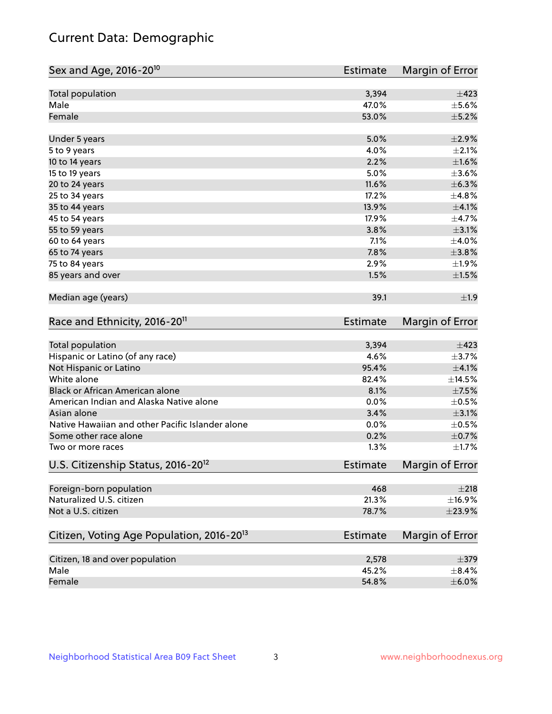# Current Data: Demographic

| Sex and Age, 2016-20 <sup>10</sup>                    | <b>Estimate</b> | Margin of Error |
|-------------------------------------------------------|-----------------|-----------------|
| Total population                                      | 3,394           | $\pm$ 423       |
| Male                                                  | 47.0%           | $\pm$ 5.6%      |
| Female                                                | 53.0%           | $\pm$ 5.2%      |
| Under 5 years                                         | 5.0%            | $\pm 2.9\%$     |
| 5 to 9 years                                          | 4.0%            | $\pm 2.1\%$     |
| 10 to 14 years                                        | 2.2%            | $\pm1.6\%$      |
| 15 to 19 years                                        | 5.0%            | $\pm 3.6\%$     |
| 20 to 24 years                                        | 11.6%           | ±6.3%           |
| 25 to 34 years                                        | 17.2%           | ±4.8%           |
| 35 to 44 years                                        | 13.9%           | $\pm 4.1\%$     |
| 45 to 54 years                                        | 17.9%           | $\pm$ 4.7%      |
| 55 to 59 years                                        | 3.8%            | $\pm$ 3.1%      |
| 60 to 64 years                                        | 7.1%            | $\pm$ 4.0%      |
| 65 to 74 years                                        | 7.8%            | $\pm 3.8\%$     |
| 75 to 84 years                                        | 2.9%            | ±1.9%           |
| 85 years and over                                     | 1.5%            | $\pm 1.5\%$     |
| Median age (years)                                    | 39.1            | ±1.9            |
| Race and Ethnicity, 2016-20 <sup>11</sup>             | <b>Estimate</b> | Margin of Error |
| <b>Total population</b>                               | 3,394           | $\pm$ 423       |
| Hispanic or Latino (of any race)                      | 4.6%            | $\pm$ 3.7%      |
| Not Hispanic or Latino                                | 95.4%           | $\pm$ 4.1%      |
| White alone                                           | 82.4%           | ±14.5%          |
| Black or African American alone                       | 8.1%            | $\pm$ 7.5%      |
| American Indian and Alaska Native alone               | 0.0%            | $\pm$ 0.5%      |
| Asian alone                                           | 3.4%            | $\pm 3.1\%$     |
| Native Hawaiian and other Pacific Islander alone      | 0.0%            | $\pm$ 0.5%      |
| Some other race alone                                 | 0.2%            | $\pm$ 0.7%      |
| Two or more races                                     | 1.3%            | $\pm1.7\%$      |
| U.S. Citizenship Status, 2016-20 <sup>12</sup>        | Estimate        | Margin of Error |
| Foreign-born population                               | 468             | ±218            |
| Naturalized U.S. citizen                              | 21.3%           | ±16.9%          |
| Not a U.S. citizen                                    | 78.7%           | $\pm 23.9\%$    |
| Citizen, Voting Age Population, 2016-20 <sup>13</sup> | Estimate        | Margin of Error |
| Citizen, 18 and over population                       | 2,578           | $\pm$ 379       |
| Male                                                  | 45.2%           | $\pm$ 8.4%      |
| Female                                                | 54.8%           | $\pm$ 6.0%      |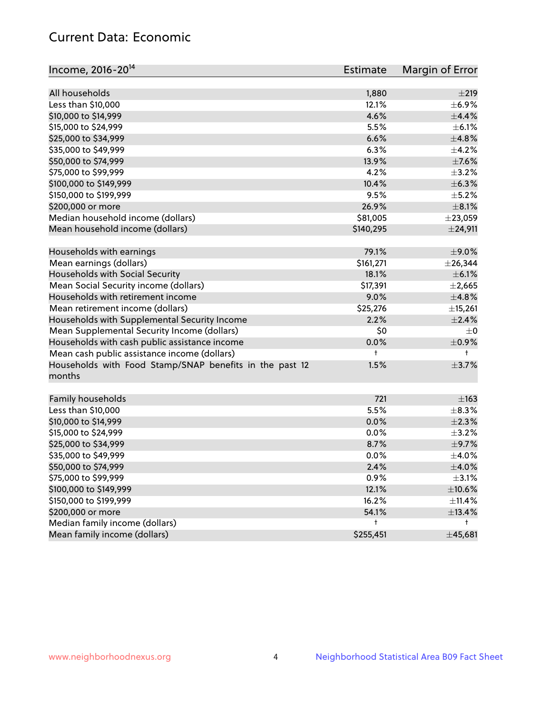# Current Data: Economic

| Income, 2016-20 <sup>14</sup>                           | <b>Estimate</b> | Margin of Error |
|---------------------------------------------------------|-----------------|-----------------|
| All households                                          |                 | ±219            |
| Less than \$10,000                                      | 1,880<br>12.1%  | $\pm$ 6.9%      |
|                                                         | 4.6%            | ±4.4%           |
| \$10,000 to \$14,999<br>\$15,000 to \$24,999            |                 |                 |
|                                                         | 5.5%            | $\pm$ 6.1%      |
| \$25,000 to \$34,999                                    | 6.6%            | ±4.8%           |
| \$35,000 to \$49,999                                    | 6.3%            | $\pm$ 4.2%      |
| \$50,000 to \$74,999                                    | 13.9%           | $\pm$ 7.6%      |
| \$75,000 to \$99,999                                    | 4.2%            | $\pm$ 3.2%      |
| \$100,000 to \$149,999                                  | 10.4%           | ±6.3%           |
| \$150,000 to \$199,999                                  | 9.5%            | $\pm$ 5.2%      |
| \$200,000 or more                                       | 26.9%           | $\pm$ 8.1%      |
| Median household income (dollars)                       | \$81,005        | ±23,059         |
| Mean household income (dollars)                         | \$140,295       | $±$ 24,911      |
| Households with earnings                                | 79.1%           | $\pm$ 9.0%      |
| Mean earnings (dollars)                                 | \$161,271       | $±$ 26,344      |
| Households with Social Security                         | 18.1%           | $\pm$ 6.1%      |
| Mean Social Security income (dollars)                   | \$17,391        | $\pm 2,665$     |
| Households with retirement income                       | 9.0%            | ±4.8%           |
| Mean retirement income (dollars)                        | \$25,276        | ±15,261         |
| Households with Supplemental Security Income            | 2.2%            | ±2.4%           |
| Mean Supplemental Security Income (dollars)             | \$0             | $\pm$ 0         |
| Households with cash public assistance income           | 0.0%            | $\pm$ 0.9%      |
| Mean cash public assistance income (dollars)            | t               | $^+$            |
| Households with Food Stamp/SNAP benefits in the past 12 | 1.5%            | $\pm$ 3.7%      |
| months                                                  |                 |                 |
|                                                         |                 |                 |
| Family households                                       | 721             | $\pm$ 163       |
| Less than \$10,000                                      | 5.5%            | $\pm$ 8.3%      |
| \$10,000 to \$14,999                                    | 0.0%            | $\pm 2.3\%$     |
| \$15,000 to \$24,999                                    | 0.0%            | $\pm$ 3.2%      |
| \$25,000 to \$34,999                                    | 8.7%            | $\pm$ 9.7%      |
| \$35,000 to \$49,999                                    | 0.0%            | $\pm$ 4.0%      |
| \$50,000 to \$74,999                                    | 2.4%            | $\pm 4.0\%$     |
| \$75,000 to \$99,999                                    | 0.9%            | $\pm$ 3.1%      |
| \$100,000 to \$149,999                                  | 12.1%           | $\pm 10.6\%$    |
| \$150,000 to \$199,999                                  | 16.2%           | $\pm$ 11.4%     |
| \$200,000 or more                                       | 54.1%           | ±13.4%          |
| Median family income (dollars)                          | t               | t               |
| Mean family income (dollars)                            | \$255,451       | ±45,681         |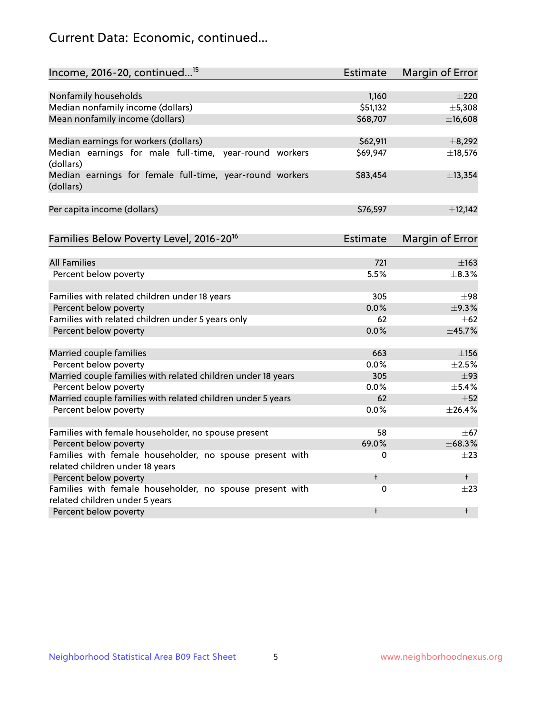# Current Data: Economic, continued...

| Income, 2016-20, continued <sup>15</sup>                                                   | <b>Estimate</b> | Margin of Error        |
|--------------------------------------------------------------------------------------------|-----------------|------------------------|
|                                                                                            |                 |                        |
| Nonfamily households                                                                       | 1,160           | $\pm 220$              |
| Median nonfamily income (dollars)                                                          | \$51,132        | ±5,308                 |
| Mean nonfamily income (dollars)                                                            | \$68,707        | ±16,608                |
| Median earnings for workers (dollars)                                                      | \$62,911        | ±8,292                 |
| Median earnings for male full-time, year-round workers<br>(dollars)                        | \$69,947        | ±18,576                |
| Median earnings for female full-time, year-round workers<br>(dollars)                      | \$83,454        | ±13,354                |
| Per capita income (dollars)                                                                | \$76,597        | ±12,142                |
| Families Below Poverty Level, 2016-20 <sup>16</sup>                                        | <b>Estimate</b> | <b>Margin of Error</b> |
|                                                                                            |                 |                        |
| <b>All Families</b>                                                                        | 721             | $\pm$ 163              |
| Percent below poverty                                                                      | 5.5%            | ±8.3%                  |
| Families with related children under 18 years                                              | 305             | $\pm$ 98               |
| Percent below poverty                                                                      | 0.0%            | ±9.3%                  |
| Families with related children under 5 years only                                          | 62              | $\pm 62$               |
| Percent below poverty                                                                      | 0.0%            | ±45.7%                 |
| Married couple families                                                                    | 663             | $\pm$ 156              |
| Percent below poverty                                                                      | 0.0%            | $\pm 2.5\%$            |
| Married couple families with related children under 18 years                               | 305             | $\pm$ 93               |
| Percent below poverty                                                                      | $0.0\%$         | $\pm$ 5.4%             |
| Married couple families with related children under 5 years                                | 62              | $\pm$ 52               |
| Percent below poverty                                                                      | $0.0\%$         | ±26.4%                 |
| Families with female householder, no spouse present                                        | 58              | $\pm$ 67               |
| Percent below poverty                                                                      | 69.0%           | $\pm 68.3\%$           |
| Families with female householder, no spouse present with                                   | 0               | $+23$                  |
| related children under 18 years                                                            |                 |                        |
| Percent below poverty                                                                      | $\ddagger$      | $^+$                   |
| Families with female householder, no spouse present with<br>related children under 5 years | 0               | $\pm 23$               |
| Percent below poverty                                                                      | $\ddagger$      | $\ddagger$             |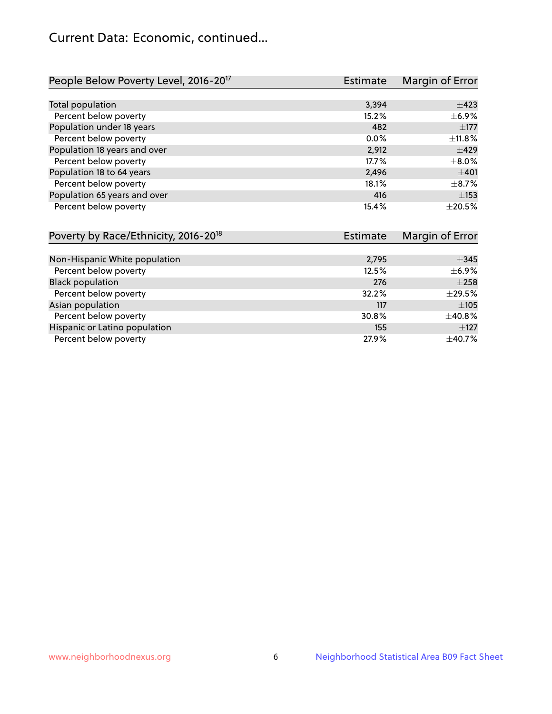# Current Data: Economic, continued...

| People Below Poverty Level, 2016-20 <sup>17</sup> | <b>Estimate</b> | Margin of Error |
|---------------------------------------------------|-----------------|-----------------|
|                                                   |                 |                 |
| Total population                                  | 3,394           | $\pm 423$       |
| Percent below poverty                             | 15.2%           | $\pm$ 6.9%      |
| Population under 18 years                         | 482             | $\pm 177$       |
| Percent below poverty                             | $0.0\%$         | $\pm$ 11.8%     |
| Population 18 years and over                      | 2,912           | $\pm 429$       |
| Percent below poverty                             | 17.7%           | $\pm$ 8.0%      |
| Population 18 to 64 years                         | 2,496           | ±401            |
| Percent below poverty                             | 18.1%           | $\pm$ 8.7%      |
| Population 65 years and over                      | 416             | $\pm$ 153       |
| Percent below poverty                             | 15.4%           | $\pm 20.5\%$    |

| Poverty by Race/Ethnicity, 2016-20 <sup>18</sup> | <b>Estimate</b> |             |
|--------------------------------------------------|-----------------|-------------|
|                                                  |                 |             |
| Non-Hispanic White population                    | 2,795           | $\pm$ 345   |
| Percent below poverty                            | 12.5%           | $\pm$ 6.9%  |
| <b>Black population</b>                          | 276             | $\pm 258$   |
| Percent below poverty                            | 32.2%           | $\pm$ 29.5% |
| Asian population                                 | 117             | ±105        |
| Percent below poverty                            | 30.8%           | ±40.8%      |
| Hispanic or Latino population                    | 155             | $\pm$ 127   |
| Percent below poverty                            | 27.9%           | ±40.7%      |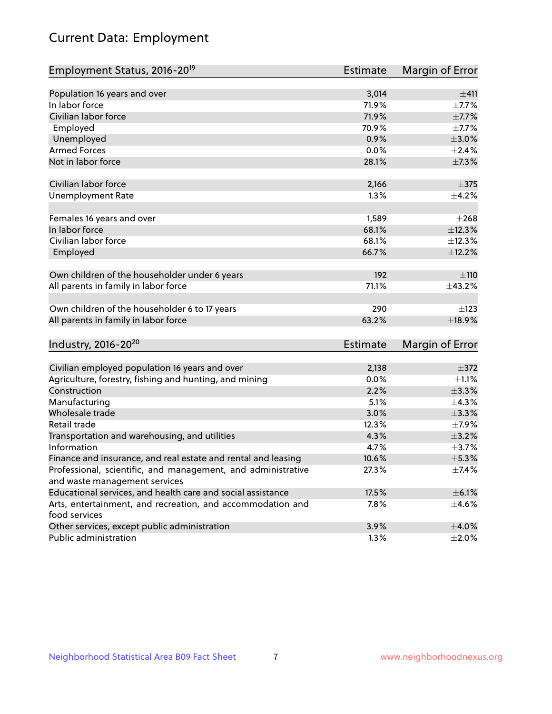# Current Data: Employment

| Employment Status, 2016-20 <sup>19</sup>                                    | <b>Estimate</b> | Margin of Error |
|-----------------------------------------------------------------------------|-----------------|-----------------|
|                                                                             |                 |                 |
| Population 16 years and over                                                | 3,014           | ±411            |
| In labor force                                                              | 71.9%           | $\pm$ 7.7%      |
| Civilian labor force                                                        | 71.9%           | $\pm$ 7.7%      |
| Employed                                                                    | 70.9%           | $\pm$ 7.7%      |
| Unemployed                                                                  | 0.9%            | $\pm 3.0\%$     |
| <b>Armed Forces</b>                                                         | 0.0%            | $\pm 2.4\%$     |
| Not in labor force                                                          | 28.1%           | ±7.3%           |
| Civilian labor force                                                        | 2,166           | $\pm$ 375       |
| <b>Unemployment Rate</b>                                                    | 1.3%            | $\pm$ 4.2%      |
| Females 16 years and over                                                   | 1,589           | $\pm 268$       |
| In labor force                                                              | 68.1%           | ±12.3%          |
| Civilian labor force                                                        | 68.1%           | ±12.3%          |
| Employed                                                                    | 66.7%           | $\pm$ 12.2%     |
| Own children of the householder under 6 years                               | 192             | ±110            |
| All parents in family in labor force                                        | 71.1%           | ±43.2%          |
| Own children of the householder 6 to 17 years                               | 290             | $\pm$ 123       |
| All parents in family in labor force                                        | 63.2%           | ±18.9%          |
| Industry, 2016-20 <sup>20</sup>                                             | <b>Estimate</b> | Margin of Error |
|                                                                             |                 |                 |
| Civilian employed population 16 years and over                              | 2,138           | $\pm$ 372       |
| Agriculture, forestry, fishing and hunting, and mining                      | 0.0%            | $\pm 1.1\%$     |
| Construction                                                                | 2.2%            | ±3.3%           |
| Manufacturing                                                               | 5.1%            | ±4.3%           |
| Wholesale trade                                                             | 3.0%            | $\pm$ 3.3%      |
| Retail trade                                                                | 12.3%           | ±7.9%           |
| Transportation and warehousing, and utilities                               | 4.3%            | $\pm$ 3.2%      |
| Information                                                                 | 4.7%            | $\pm$ 3.7%      |
| Finance and insurance, and real estate and rental and leasing               | 10.6%           | $\pm$ 5.3%      |
| Professional, scientific, and management, and administrative                | 27.3%           | $\pm$ 7.4%      |
| and waste management services                                               |                 |                 |
| Educational services, and health care and social assistance                 | 17.5%           | $\pm$ 6.1%      |
| Arts, entertainment, and recreation, and accommodation and<br>food services | 7.8%            | $\pm$ 4.6%      |
| Other services, except public administration                                | 3.9%            | $\pm$ 4.0%      |
| Public administration                                                       | 1.3%            | ±2.0%           |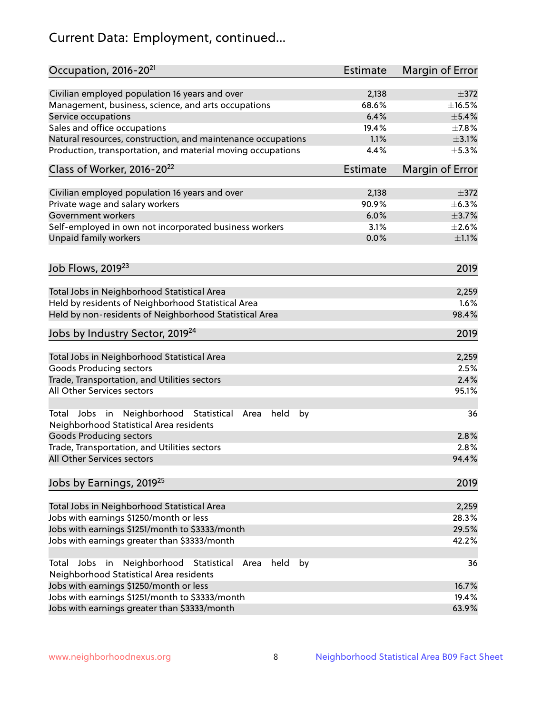# Current Data: Employment, continued...

| Occupation, 2016-20 <sup>21</sup>                                                                       | <b>Estimate</b> | Margin of Error |
|---------------------------------------------------------------------------------------------------------|-----------------|-----------------|
| Civilian employed population 16 years and over                                                          | 2,138           | $\pm$ 372       |
| Management, business, science, and arts occupations                                                     | 68.6%           | ±16.5%          |
| Service occupations                                                                                     | 6.4%            | $\pm$ 5.4%      |
| Sales and office occupations                                                                            | 19.4%           | $\pm$ 7.8%      |
| Natural resources, construction, and maintenance occupations                                            | 1.1%            | $\pm$ 3.1%      |
| Production, transportation, and material moving occupations                                             | 4.4%            | $\pm$ 5.3%      |
| Class of Worker, 2016-20 <sup>22</sup>                                                                  | Estimate        | Margin of Error |
|                                                                                                         |                 |                 |
| Civilian employed population 16 years and over                                                          | 2,138<br>90.9%  | $\pm$ 372       |
| Private wage and salary workers                                                                         |                 | $\pm$ 6.3%      |
| Government workers                                                                                      | 6.0%            | $\pm$ 3.7%      |
| Self-employed in own not incorporated business workers                                                  | 3.1%            | $\pm 2.6\%$     |
| Unpaid family workers                                                                                   | 0.0%            | $\pm 1.1\%$     |
| Job Flows, 2019 <sup>23</sup>                                                                           |                 | 2019            |
|                                                                                                         |                 |                 |
| Total Jobs in Neighborhood Statistical Area                                                             |                 | 2,259           |
| Held by residents of Neighborhood Statistical Area                                                      |                 | 1.6%            |
| Held by non-residents of Neighborhood Statistical Area                                                  |                 | 98.4%           |
| Jobs by Industry Sector, 2019 <sup>24</sup>                                                             |                 | 2019            |
| Total Jobs in Neighborhood Statistical Area                                                             |                 | 2,259           |
| <b>Goods Producing sectors</b>                                                                          |                 | 2.5%            |
| Trade, Transportation, and Utilities sectors                                                            |                 | 2.4%            |
| All Other Services sectors                                                                              |                 | 95.1%           |
|                                                                                                         |                 |                 |
| Total Jobs in Neighborhood Statistical<br>held<br>by<br>Area<br>Neighborhood Statistical Area residents |                 | 36              |
| <b>Goods Producing sectors</b>                                                                          |                 | 2.8%            |
| Trade, Transportation, and Utilities sectors                                                            |                 | 2.8%            |
| All Other Services sectors                                                                              |                 | 94.4%           |
| Jobs by Earnings, 2019 <sup>25</sup>                                                                    |                 | 2019            |
| Total Jobs in Neighborhood Statistical Area                                                             |                 | 2,259           |
| Jobs with earnings \$1250/month or less                                                                 |                 | 28.3%           |
| Jobs with earnings \$1251/month to \$3333/month                                                         |                 | 29.5%           |
| Jobs with earnings greater than \$3333/month                                                            |                 | 42.2%           |
| Neighborhood Statistical<br>Jobs<br>in<br>Area<br>held<br>by<br>Total                                   |                 | 36              |
| Neighborhood Statistical Area residents                                                                 |                 |                 |
| Jobs with earnings \$1250/month or less                                                                 |                 | 16.7%           |
| Jobs with earnings \$1251/month to \$3333/month                                                         |                 | 19.4%           |
| Jobs with earnings greater than \$3333/month                                                            |                 | 63.9%           |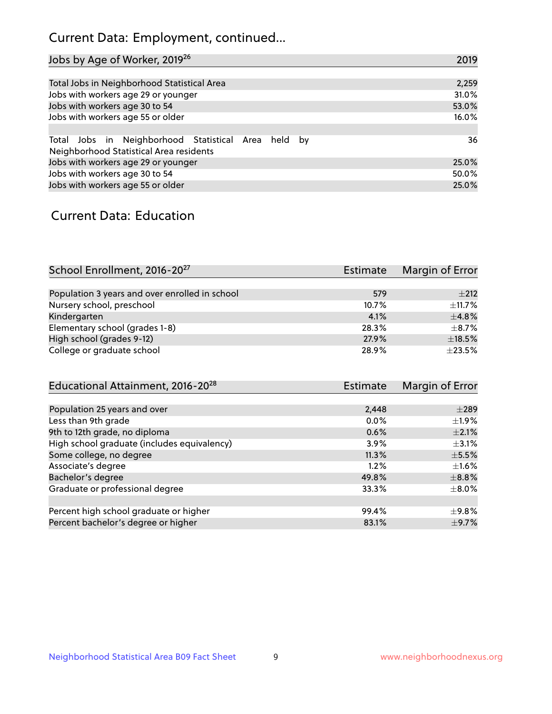# Current Data: Employment, continued...

| Jobs by Age of Worker, 2019 <sup>26</sup>                                                      | 2019  |
|------------------------------------------------------------------------------------------------|-------|
|                                                                                                |       |
| Total Jobs in Neighborhood Statistical Area                                                    | 2,259 |
| Jobs with workers age 29 or younger                                                            | 31.0% |
| Jobs with workers age 30 to 54                                                                 | 53.0% |
| Jobs with workers age 55 or older                                                              | 16.0% |
|                                                                                                |       |
| Total Jobs in Neighborhood Statistical Area held by<br>Neighborhood Statistical Area residents | 36    |
| Jobs with workers age 29 or younger                                                            | 25.0% |
| Jobs with workers age 30 to 54                                                                 | 50.0% |
| Jobs with workers age 55 or older                                                              | 25.0% |

### Current Data: Education

| School Enrollment, 2016-20 <sup>27</sup>       | Estimate | Margin of Error |
|------------------------------------------------|----------|-----------------|
|                                                |          |                 |
| Population 3 years and over enrolled in school | 579      | $+212$          |
| Nursery school, preschool                      | 10.7%    | $\pm$ 11.7%     |
| Kindergarten                                   | 4.1%     | ±4.8%           |
| Elementary school (grades 1-8)                 | 28.3%    | $+8.7%$         |
| High school (grades 9-12)                      | 27.9%    | $\pm$ 18.5%     |
| College or graduate school                     | 28.9%    | $\pm 23.5\%$    |
|                                                |          |                 |

| Educational Attainment, 2016-20 <sup>28</sup> | <b>Estimate</b> | Margin of Error |
|-----------------------------------------------|-----------------|-----------------|
|                                               |                 |                 |
| Population 25 years and over                  | 2,448           | $\pm 289$       |
| Less than 9th grade                           | $0.0\%$         | $\pm 1.9\%$     |
| 9th to 12th grade, no diploma                 | 0.6%            | $\pm 2.1\%$     |
| High school graduate (includes equivalency)   | $3.9\%$         | $\pm$ 3.1%      |
| Some college, no degree                       | 11.3%           | $\pm$ 5.5%      |
| Associate's degree                            | 1.2%            | $\pm 1.6\%$     |
| Bachelor's degree                             | 49.8%           | $\pm$ 8.8%      |
| Graduate or professional degree               | 33.3%           | $\pm$ 8.0%      |
|                                               |                 |                 |
| Percent high school graduate or higher        | 99.4%           | ±9.8%           |
| Percent bachelor's degree or higher           | 83.1%           | $\pm$ 9.7%      |
|                                               |                 |                 |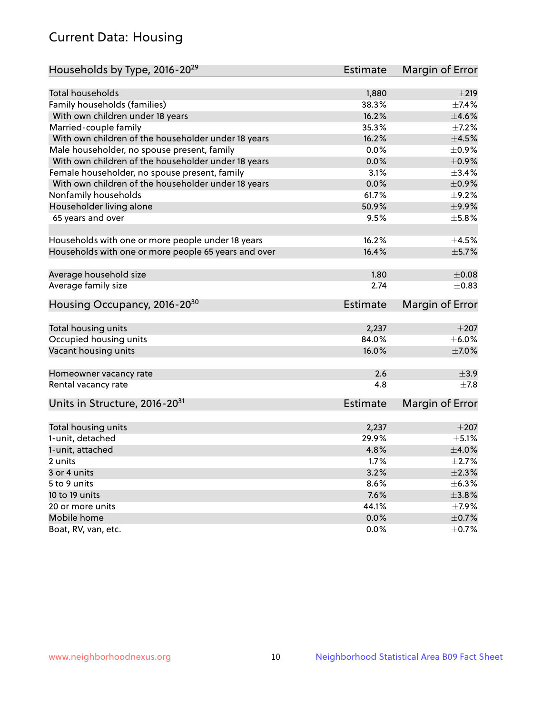# Current Data: Housing

| Households by Type, 2016-20 <sup>29</sup>            | <b>Estimate</b> | Margin of Error |
|------------------------------------------------------|-----------------|-----------------|
|                                                      |                 |                 |
| <b>Total households</b>                              | 1,880           | $\pm 219$       |
| Family households (families)                         | 38.3%           | $\pm$ 7.4%      |
| With own children under 18 years                     | 16.2%           | $\pm 4.6\%$     |
| Married-couple family                                | 35.3%           | $\pm$ 7.2%      |
| With own children of the householder under 18 years  | 16.2%           | $\pm 4.5\%$     |
| Male householder, no spouse present, family          | 0.0%            | $\pm$ 0.9%      |
| With own children of the householder under 18 years  | 0.0%            | $\pm$ 0.9%      |
| Female householder, no spouse present, family        | 3.1%            | ±3.4%           |
| With own children of the householder under 18 years  | 0.0%            | $\pm$ 0.9%      |
| Nonfamily households                                 | 61.7%           | $\pm$ 9.2%      |
| Householder living alone                             | 50.9%           | ±9.9%           |
| 65 years and over                                    | 9.5%            | $\pm$ 5.8%      |
|                                                      |                 |                 |
| Households with one or more people under 18 years    | 16.2%           | $\pm 4.5\%$     |
| Households with one or more people 65 years and over | 16.4%           | $\pm$ 5.7%      |
|                                                      |                 |                 |
| Average household size                               | 1.80            | $\pm 0.08$      |
| Average family size                                  | 2.74            | $\pm$ 0.83      |
| Housing Occupancy, 2016-20 <sup>30</sup>             | <b>Estimate</b> | Margin of Error |
|                                                      |                 |                 |
| Total housing units                                  | 2,237           | $\pm 207$       |
| Occupied housing units                               | 84.0%           | $\pm$ 6.0%      |
| Vacant housing units                                 | 16.0%           | $\pm$ 7.0%      |
| Homeowner vacancy rate                               | 2.6             | $\pm$ 3.9       |
| Rental vacancy rate                                  | 4.8             | $\pm$ 7.8       |
|                                                      |                 |                 |
| Units in Structure, 2016-20 <sup>31</sup>            | Estimate        | Margin of Error |
| Total housing units                                  | 2,237           | $\pm 207$       |
| 1-unit, detached                                     | 29.9%           | $\pm$ 5.1%      |
| 1-unit, attached                                     | 4.8%            | $\pm 4.0\%$     |
| 2 units                                              | 1.7%            | $\pm 2.7\%$     |
| 3 or 4 units                                         | 3.2%            | $\pm 2.3\%$     |
| 5 to 9 units                                         | 8.6%            | $\pm$ 6.3%      |
| 10 to 19 units                                       | 7.6%            | $\pm$ 3.8%      |
| 20 or more units                                     | 44.1%           | $\pm$ 7.9%      |
| Mobile home                                          | 0.0%            | $\pm$ 0.7%      |
| Boat, RV, van, etc.                                  | $0.0\%$         | $\pm$ 0.7%      |
|                                                      |                 |                 |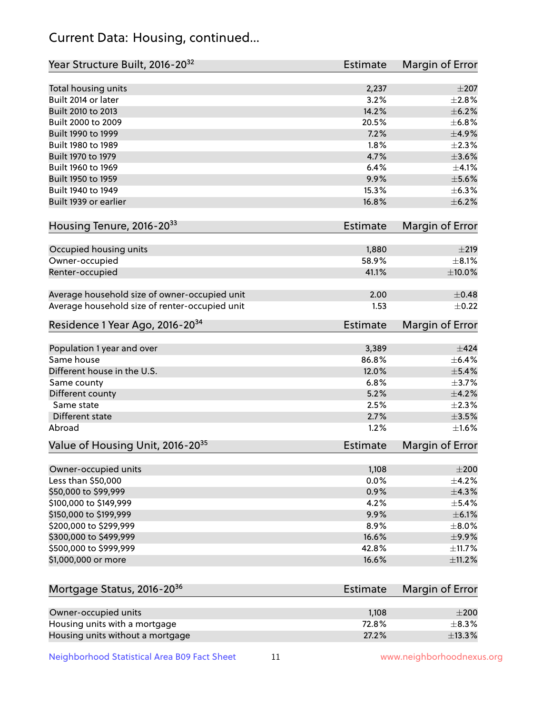# Current Data: Housing, continued...

| Year Structure Built, 2016-20 <sup>32</sup>    | <b>Estimate</b> | Margin of Error |
|------------------------------------------------|-----------------|-----------------|
| Total housing units                            | 2,237           | $\pm 207$       |
| Built 2014 or later                            | 3.2%            | $\pm 2.8\%$     |
| Built 2010 to 2013                             | 14.2%           | $\pm$ 6.2%      |
| Built 2000 to 2009                             | 20.5%           | ±6.8%           |
| Built 1990 to 1999                             | 7.2%            | $\pm$ 4.9%      |
| Built 1980 to 1989                             | 1.8%            | $\pm 2.3\%$     |
| Built 1970 to 1979                             | 4.7%            | $\pm 3.6\%$     |
| Built 1960 to 1969                             | 6.4%            | $\pm 4.1\%$     |
| Built 1950 to 1959                             | 9.9%            | $\pm$ 5.6%      |
| Built 1940 to 1949                             | 15.3%           | $\pm$ 6.3%      |
| Built 1939 or earlier                          | 16.8%           | $\pm$ 6.2%      |
| Housing Tenure, 2016-2033                      | <b>Estimate</b> | Margin of Error |
| Occupied housing units                         | 1,880           | $\pm 219$       |
| Owner-occupied                                 | 58.9%           | $\pm$ 8.1%      |
| Renter-occupied                                | 41.1%           | $\pm 10.0\%$    |
| Average household size of owner-occupied unit  | 2.00            | $\pm$ 0.48      |
| Average household size of renter-occupied unit | 1.53            | $\pm$ 0.22      |
| Residence 1 Year Ago, 2016-20 <sup>34</sup>    | <b>Estimate</b> | Margin of Error |
| Population 1 year and over                     | 3,389           | $\pm$ 424       |
| Same house                                     | 86.8%           | $\pm$ 6.4%      |
| Different house in the U.S.                    | 12.0%           | $\pm$ 5.4%      |
| Same county                                    | 6.8%            | $\pm$ 3.7%      |
| Different county                               | 5.2%            | $\pm$ 4.2%      |
| Same state                                     | 2.5%            | $\pm 2.3\%$     |
| Different state                                | 2.7%            | $\pm 3.5\%$     |
| Abroad                                         | 1.2%            | $\pm1.6\%$      |
| Value of Housing Unit, 2016-20 <sup>35</sup>   | <b>Estimate</b> | Margin of Error |
| Owner-occupied units                           | 1,108           | $\pm 200$       |
| Less than \$50,000                             | 0.0%            | $\pm$ 4.2%      |
| \$50,000 to \$99,999                           | 0.9%            | ±4.3%           |
| \$100,000 to \$149,999                         | 4.2%            | $\pm$ 5.4%      |
| \$150,000 to \$199,999                         | 9.9%            | $\pm$ 6.1%      |
| \$200,000 to \$299,999                         | 8.9%            | $\pm$ 8.0%      |
| \$300,000 to \$499,999                         | 16.6%           | $\pm$ 9.9%      |
| \$500,000 to \$999,999                         | 42.8%           | ±11.7%          |
| \$1,000,000 or more                            | 16.6%           | $\pm$ 11.2%     |
|                                                |                 |                 |
| Mortgage Status, 2016-20 <sup>36</sup>         | <b>Estimate</b> | Margin of Error |
| Owner-occupied units                           | 1,108           | $\pm 200$       |
| Housing units with a mortgage                  | 72.8%           | $\pm$ 8.3%      |
| Housing units without a mortgage               | 27.2%           | ±13.3%          |

Neighborhood Statistical Area B09 Fact Sheet 11 11 www.neighborhoodnexus.org

Housing units without a mortgage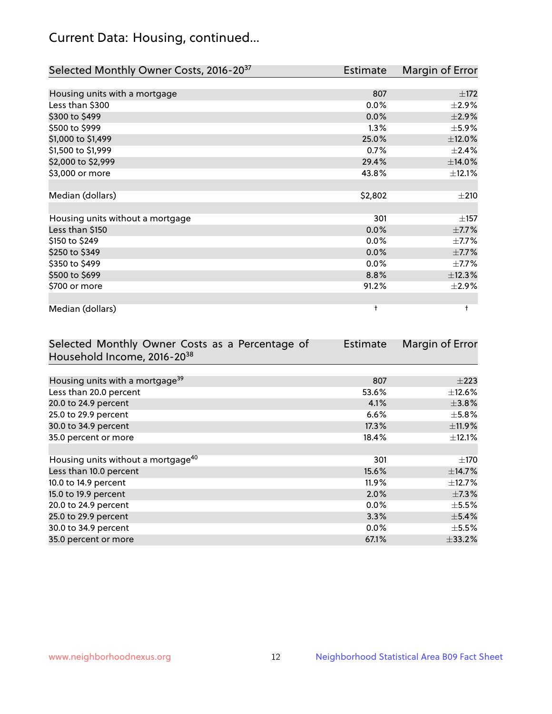# Current Data: Housing, continued...

| Selected Monthly Owner Costs, 2016-20 <sup>37</sup> | Estimate   | Margin of Error |
|-----------------------------------------------------|------------|-----------------|
|                                                     |            |                 |
| Housing units with a mortgage                       | 807        | ±172            |
| Less than \$300                                     | 0.0%       | $\pm 2.9\%$     |
| \$300 to \$499                                      | 0.0%       | $\pm 2.9\%$     |
| \$500 to \$999                                      | 1.3%       | $\pm$ 5.9%      |
| \$1,000 to \$1,499                                  | 25.0%      | $\pm$ 12.0%     |
| \$1,500 to \$1,999                                  | 0.7%       | ±2.4%           |
| \$2,000 to \$2,999                                  | 29.4%      | $\pm$ 14.0%     |
| \$3,000 or more                                     | 43.8%      | $\pm$ 12.1%     |
|                                                     |            |                 |
| Median (dollars)                                    | \$2,802    | $\pm 210$       |
|                                                     |            |                 |
| Housing units without a mortgage                    | 301        | $\pm$ 157       |
| Less than \$150                                     | 0.0%       | $\pm$ 7.7%      |
| \$150 to \$249                                      | 0.0%       | $\pm$ 7.7%      |
| \$250 to \$349                                      | 0.0%       | $\pm$ 7.7%      |
| \$350 to \$499                                      | 0.0%       | $\pm$ 7.7%      |
| \$500 to \$699                                      | 8.8%       | ±12.3%          |
| \$700 or more                                       | 91.2%      | $\pm 2.9\%$     |
|                                                     |            |                 |
| Median (dollars)                                    | $\ddagger$ | $\ddagger$      |

| Selected Monthly Owner Costs as a Percentage of | <b>Estimate</b> | Margin of Error |
|-------------------------------------------------|-----------------|-----------------|
| Household Income, 2016-2038                     |                 |                 |
|                                                 |                 |                 |
| Housing units with a mortgage <sup>39</sup>     | 807             | $\pm 223$       |
| Less than 20.0 percent                          | 53.6%           | $\pm$ 12.6%     |
| 20.0 to 24.9 percent                            | 4.1%            | $\pm$ 3.8%      |
| 25.0 to 29.9 percent                            | 6.6%            | $\pm$ 5.8%      |
| 30.0 to 34.9 percent                            | 17.3%           | ±11.9%          |
| 35.0 percent or more                            | 18.4%           | $\pm$ 12.1%     |
|                                                 |                 |                 |
| Housing units without a mortgage <sup>40</sup>  | 301             | $\pm$ 170       |
| Less than 10.0 percent                          | 15.6%           | $\pm$ 14.7%     |
| 10.0 to 14.9 percent                            | 11.9%           | $\pm$ 12.7%     |
| 15.0 to 19.9 percent                            | 2.0%            | $\pm$ 7.3%      |
| 20.0 to 24.9 percent                            | $0.0\%$         | $\pm$ 5.5%      |
| 25.0 to 29.9 percent                            | 3.3%            | $\pm$ 5.4%      |
| 30.0 to 34.9 percent                            | $0.0\%$         | $\pm$ 5.5%      |
| 35.0 percent or more                            | 67.1%           | $\pm$ 33.2%     |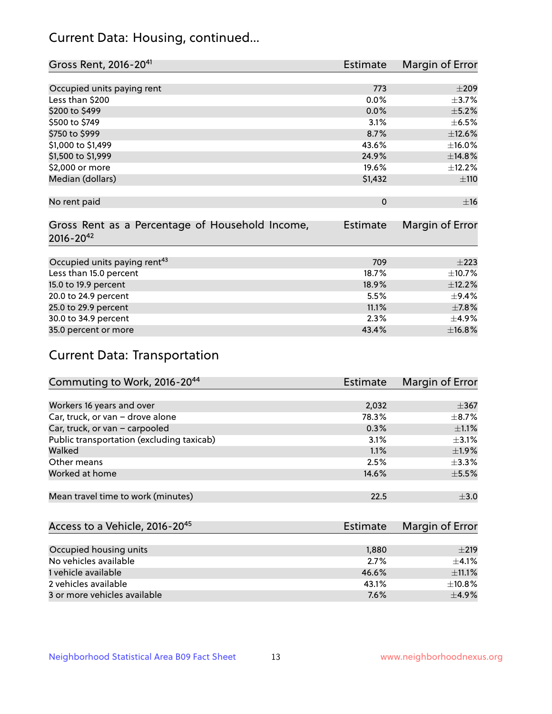# Current Data: Housing, continued...

| Gross Rent, 2016-20 <sup>41</sup>               | Estimate        | Margin of Error |
|-------------------------------------------------|-----------------|-----------------|
|                                                 |                 |                 |
| Occupied units paying rent                      | 773             | $\pm 209$       |
| Less than \$200                                 | 0.0%            | $\pm$ 3.7%      |
| \$200 to \$499                                  | 0.0%            | $\pm$ 5.2%      |
| \$500 to \$749                                  | 3.1%            | $\pm$ 6.5%      |
| \$750 to \$999                                  | 8.7%            | ±12.6%          |
| \$1,000 to \$1,499                              | 43.6%           | ±16.0%          |
| \$1,500 to \$1,999                              | 24.9%           | ±14.8%          |
| \$2,000 or more                                 | 19.6%           | ±12.2%          |
| Median (dollars)                                | \$1,432         | ±110            |
|                                                 |                 |                 |
| No rent paid                                    | $\mathbf 0$     | ±16             |
|                                                 |                 |                 |
| Gross Rent as a Percentage of Household Income, | <b>Estimate</b> | Margin of Error |
| $2016 - 20^{42}$                                |                 |                 |
|                                                 |                 |                 |
| Occupied units paying rent <sup>43</sup>        | 709             | $\pm 223$       |
| Less than 15.0 percent                          | 18.7%           | $\pm$ 10.7%     |
| 15.0 to 19.9 percent                            | 18.9%           | ±12.2%          |
| 20.0 to 24.9 percent                            | 5.5%            | $\pm$ 9.4%      |
| 25.0 to 29.9 percent                            | 11.1%           | $\pm$ 7.8%      |
| 30.0 to 34.9 percent                            | 2.3%            | $\pm$ 4.9%      |
| 35.0 percent or more                            | 43.4%           | ±16.8%          |

# Current Data: Transportation

| Commuting to Work, 2016-20 <sup>44</sup>  | <b>Estimate</b> | <b>Margin of Error</b> |
|-------------------------------------------|-----------------|------------------------|
|                                           |                 |                        |
| Workers 16 years and over                 | 2,032           | $\pm$ 367              |
| Car, truck, or van - drove alone          | 78.3%           | $\pm$ 8.7%             |
| Car, truck, or van - carpooled            | 0.3%            | $\pm 1.1\%$            |
| Public transportation (excluding taxicab) | 3.1%            | $\pm$ 3.1%             |
| Walked                                    | 1.1%            | $\pm$ 1.9%             |
| Other means                               | 2.5%            | $\pm$ 3.3%             |
| Worked at home                            | 14.6%           | $\pm$ 5.5%             |
|                                           |                 |                        |
| Mean travel time to work (minutes)        | 22.5            | $\pm$ 3.0              |

| Access to a Vehicle, 2016-20 <sup>45</sup> | Estimate | Margin of Error |
|--------------------------------------------|----------|-----------------|
|                                            |          |                 |
| Occupied housing units                     | 1,880    | $\pm 219$       |
| No vehicles available                      | 2.7%     | $+4.1%$         |
| 1 vehicle available                        | 46.6%    | $\pm$ 11.1%     |
| 2 vehicles available                       | 43.1%    | $\pm$ 10.8%     |
| 3 or more vehicles available               | 7.6%     | $+4.9%$         |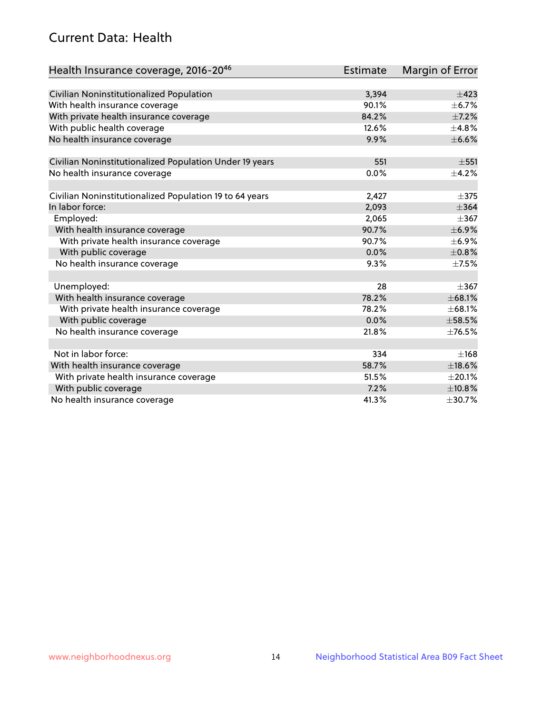# Current Data: Health

| Health Insurance coverage, 2016-2046                    | <b>Estimate</b> | Margin of Error |
|---------------------------------------------------------|-----------------|-----------------|
|                                                         |                 |                 |
| Civilian Noninstitutionalized Population                | 3,394           | $\pm$ 423       |
| With health insurance coverage                          | 90.1%           | $\pm$ 6.7%      |
| With private health insurance coverage                  | 84.2%           | $+7.2%$         |
| With public health coverage                             | 12.6%           | $\pm$ 4.8%      |
| No health insurance coverage                            | 9.9%            | $\pm$ 6.6%      |
| Civilian Noninstitutionalized Population Under 19 years | 551             | $\pm$ 551       |
| No health insurance coverage                            | 0.0%            | $\pm$ 4.2%      |
|                                                         |                 |                 |
| Civilian Noninstitutionalized Population 19 to 64 years | 2,427           | $\pm$ 375       |
| In labor force:                                         | 2,093           | $\pm$ 364       |
| Employed:                                               | 2,065           | $\pm$ 367       |
| With health insurance coverage                          | 90.7%           | $\pm$ 6.9%      |
| With private health insurance coverage                  | 90.7%           | $\pm$ 6.9%      |
| With public coverage                                    | 0.0%            | $\pm$ 0.8%      |
| No health insurance coverage                            | 9.3%            | $\pm$ 7.5%      |
|                                                         |                 |                 |
| Unemployed:                                             | 28              | $\pm$ 367       |
| With health insurance coverage                          | 78.2%           | ±68.1%          |
| With private health insurance coverage                  | 78.2%           | ±68.1%          |
| With public coverage                                    | 0.0%            | $\pm$ 58.5%     |
| No health insurance coverage                            | 21.8%           | ±76.5%          |
|                                                         |                 |                 |
| Not in labor force:                                     | 334             | ±168            |
| With health insurance coverage                          | 58.7%           | $\pm$ 18.6%     |
| With private health insurance coverage                  | 51.5%           | $\pm 20.1\%$    |
| With public coverage                                    | 7.2%            | ±10.8%          |
| No health insurance coverage                            | 41.3%           | ±30.7%          |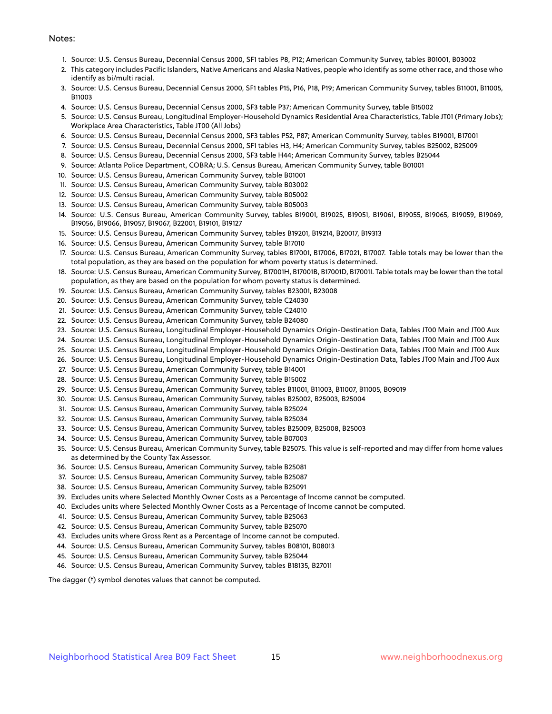#### Notes:

- 1. Source: U.S. Census Bureau, Decennial Census 2000, SF1 tables P8, P12; American Community Survey, tables B01001, B03002
- 2. This category includes Pacific Islanders, Native Americans and Alaska Natives, people who identify as some other race, and those who identify as bi/multi racial.
- 3. Source: U.S. Census Bureau, Decennial Census 2000, SF1 tables P15, P16, P18, P19; American Community Survey, tables B11001, B11005, B11003
- 4. Source: U.S. Census Bureau, Decennial Census 2000, SF3 table P37; American Community Survey, table B15002
- 5. Source: U.S. Census Bureau, Longitudinal Employer-Household Dynamics Residential Area Characteristics, Table JT01 (Primary Jobs); Workplace Area Characteristics, Table JT00 (All Jobs)
- 6. Source: U.S. Census Bureau, Decennial Census 2000, SF3 tables P52, P87; American Community Survey, tables B19001, B17001
- 7. Source: U.S. Census Bureau, Decennial Census 2000, SF1 tables H3, H4; American Community Survey, tables B25002, B25009
- 8. Source: U.S. Census Bureau, Decennial Census 2000, SF3 table H44; American Community Survey, tables B25044
- 9. Source: Atlanta Police Department, COBRA; U.S. Census Bureau, American Community Survey, table B01001
- 10. Source: U.S. Census Bureau, American Community Survey, table B01001
- 11. Source: U.S. Census Bureau, American Community Survey, table B03002
- 12. Source: U.S. Census Bureau, American Community Survey, table B05002
- 13. Source: U.S. Census Bureau, American Community Survey, table B05003
- 14. Source: U.S. Census Bureau, American Community Survey, tables B19001, B19025, B19051, B19061, B19055, B19065, B19059, B19069, B19056, B19066, B19057, B19067, B22001, B19101, B19127
- 15. Source: U.S. Census Bureau, American Community Survey, tables B19201, B19214, B20017, B19313
- 16. Source: U.S. Census Bureau, American Community Survey, table B17010
- 17. Source: U.S. Census Bureau, American Community Survey, tables B17001, B17006, B17021, B17007. Table totals may be lower than the total population, as they are based on the population for whom poverty status is determined.
- 18. Source: U.S. Census Bureau, American Community Survey, B17001H, B17001B, B17001D, B17001I. Table totals may be lower than the total population, as they are based on the population for whom poverty status is determined.
- 19. Source: U.S. Census Bureau, American Community Survey, tables B23001, B23008
- 20. Source: U.S. Census Bureau, American Community Survey, table C24030
- 21. Source: U.S. Census Bureau, American Community Survey, table C24010
- 22. Source: U.S. Census Bureau, American Community Survey, table B24080
- 23. Source: U.S. Census Bureau, Longitudinal Employer-Household Dynamics Origin-Destination Data, Tables JT00 Main and JT00 Aux
- 24. Source: U.S. Census Bureau, Longitudinal Employer-Household Dynamics Origin-Destination Data, Tables JT00 Main and JT00 Aux
- 25. Source: U.S. Census Bureau, Longitudinal Employer-Household Dynamics Origin-Destination Data, Tables JT00 Main and JT00 Aux
- 26. Source: U.S. Census Bureau, Longitudinal Employer-Household Dynamics Origin-Destination Data, Tables JT00 Main and JT00 Aux
- 27. Source: U.S. Census Bureau, American Community Survey, table B14001
- 28. Source: U.S. Census Bureau, American Community Survey, table B15002
- 29. Source: U.S. Census Bureau, American Community Survey, tables B11001, B11003, B11007, B11005, B09019
- 30. Source: U.S. Census Bureau, American Community Survey, tables B25002, B25003, B25004
- 31. Source: U.S. Census Bureau, American Community Survey, table B25024
- 32. Source: U.S. Census Bureau, American Community Survey, table B25034
- 33. Source: U.S. Census Bureau, American Community Survey, tables B25009, B25008, B25003
- 34. Source: U.S. Census Bureau, American Community Survey, table B07003
- 35. Source: U.S. Census Bureau, American Community Survey, table B25075. This value is self-reported and may differ from home values as determined by the County Tax Assessor.
- 36. Source: U.S. Census Bureau, American Community Survey, table B25081
- 37. Source: U.S. Census Bureau, American Community Survey, table B25087
- 38. Source: U.S. Census Bureau, American Community Survey, table B25091
- 39. Excludes units where Selected Monthly Owner Costs as a Percentage of Income cannot be computed.
- 40. Excludes units where Selected Monthly Owner Costs as a Percentage of Income cannot be computed.
- 41. Source: U.S. Census Bureau, American Community Survey, table B25063
- 42. Source: U.S. Census Bureau, American Community Survey, table B25070
- 43. Excludes units where Gross Rent as a Percentage of Income cannot be computed.
- 44. Source: U.S. Census Bureau, American Community Survey, tables B08101, B08013
- 45. Source: U.S. Census Bureau, American Community Survey, table B25044
- 46. Source: U.S. Census Bureau, American Community Survey, tables B18135, B27011

The dagger (†) symbol denotes values that cannot be computed.